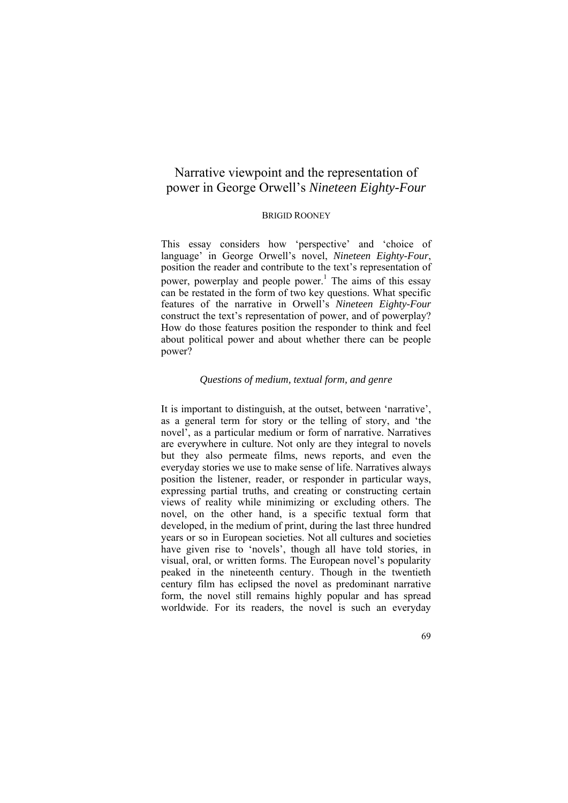# Narrative viewpoint and the representation of power in George Orwell's *Nineteen Eighty-Four*

#### BRIGID ROONEY

This essay considers how 'perspective' and 'choice of language' in George Orwell's novel, *Nineteen Eighty-Four*, position the reader and contribute to the text's representation of power, powerplay and people power.<sup>1</sup> The aims of this essay can be restated in the form of two key questions. What specific features of the narrative in Orwell's *Nineteen Eighty-Four* construct the text's representation of power, and of powerplay? How do those features position the responder to think and feel about political power and about whether there can be people power?

## *Questions of medium, textual form, and genre*

It is important to distinguish, at the outset, between 'narrative', as a general term for story or the telling of story, and 'the novel', as a particular medium or form of narrative. Narratives are everywhere in culture. Not only are they integral to novels but they also permeate films, news reports, and even the everyday stories we use to make sense of life. Narratives always position the listener, reader, or responder in particular ways, expressing partial truths, and creating or constructing certain views of reality while minimizing or excluding others. The novel, on the other hand, is a specific textual form that developed, in the medium of print, during the last three hundred years or so in European societies. Not all cultures and societies have given rise to 'novels', though all have told stories, in visual, oral, or written forms. The European novel's popularity peaked in the nineteenth century. Though in the twentieth century film has eclipsed the novel as predominant narrative form, the novel still remains highly popular and has spread worldwide. For its readers, the novel is such an everyday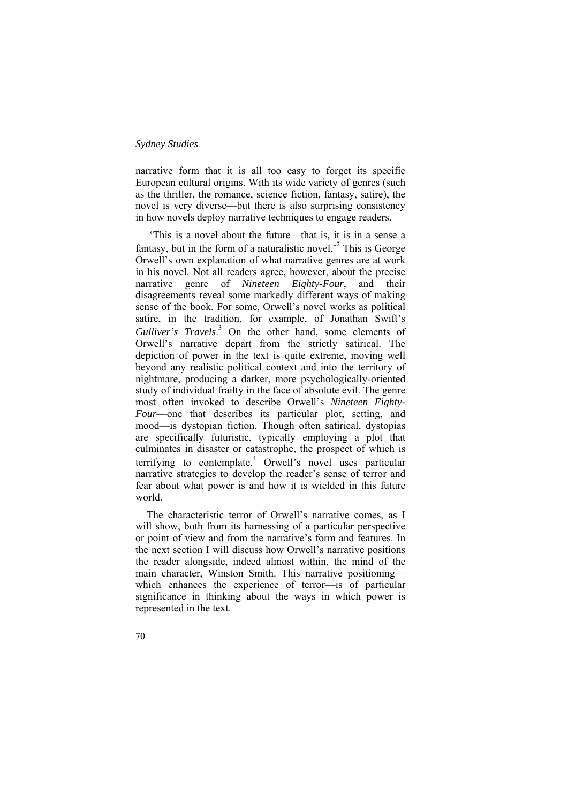narrative form that it is all too easy to forget its specific European cultural origins. With its wide variety of genres (such as the thriller, the romance, science fiction, fantasy, satire), the novel is very diverse—but there is also surprising consistency in how novels deploy narrative techniques to engage readers.

 'This is a novel about the future—that is, it is in a sense a fantasy, but in the form of a naturalistic novel.<sup> $2$ </sup> This is George Orwell's own explanation of what narrative genres are at work in his novel. Not all readers agree, however, about the precise narrative genre of *Nineteen Eighty-Four*, and their disagreements reveal some markedly different ways of making sense of the book. For some, Orwell's novel works as political satire, in the tradition, for example, of Jonathan Swift's *Gulliver's Travels*. 3 On the other hand, some elements of Orwell's narrative depart from the strictly satirical. The depiction of power in the text is quite extreme, moving well beyond any realistic political context and into the territory of nightmare, producing a darker, more psychologically-oriented study of individual frailty in the face of absolute evil. The genre most often invoked to describe Orwell's *Nineteen Eighty-Four*—one that describes its particular plot, setting, and mood—is dystopian fiction. Though often satirical, dystopias are specifically futuristic, typically employing a plot that culminates in disaster or catastrophe, the prospect of which is terrifying to contemplate.<sup>4</sup> Orwell's novel uses particular narrative strategies to develop the reader's sense of terror and fear about what power is and how it is wielded in this future world.

The characteristic terror of Orwell's narrative comes, as I will show, both from its harnessing of a particular perspective or point of view and from the narrative's form and features. In the next section I will discuss how Orwell's narrative positions the reader alongside, indeed almost within, the mind of the main character, Winston Smith. This narrative positioning which enhances the experience of terror—is of particular significance in thinking about the ways in which power is represented in the text.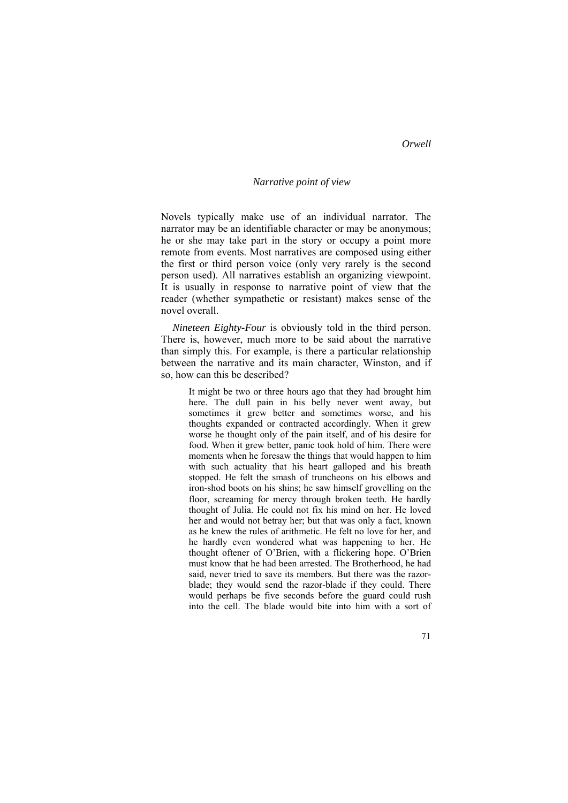#### *Narrative point of view*

Novels typically make use of an individual narrator. The narrator may be an identifiable character or may be anonymous; he or she may take part in the story or occupy a point more remote from events. Most narratives are composed using either the first or third person voice (only very rarely is the second person used). All narratives establish an organizing viewpoint. It is usually in response to narrative point of view that the reader (whether sympathetic or resistant) makes sense of the novel overall.

*Nineteen Eighty-Four* is obviously told in the third person. There is, however, much more to be said about the narrative than simply this. For example, is there a particular relationship between the narrative and its main character, Winston, and if so, how can this be described?

It might be two or three hours ago that they had brought him here. The dull pain in his belly never went away, but sometimes it grew better and sometimes worse, and his thoughts expanded or contracted accordingly. When it grew worse he thought only of the pain itself, and of his desire for food. When it grew better, panic took hold of him. There were moments when he foresaw the things that would happen to him with such actuality that his heart galloped and his breath stopped. He felt the smash of truncheons on his elbows and iron-shod boots on his shins; he saw himself grovelling on the floor, screaming for mercy through broken teeth. He hardly thought of Julia. He could not fix his mind on her. He loved her and would not betray her; but that was only a fact, known as he knew the rules of arithmetic. He felt no love for her, and he hardly even wondered what was happening to her. He thought oftener of O'Brien, with a flickering hope. O'Brien must know that he had been arrested. The Brotherhood, he had said, never tried to save its members. But there was the razorblade; they would send the razor-blade if they could. There would perhaps be five seconds before the guard could rush into the cell. The blade would bite into him with a sort of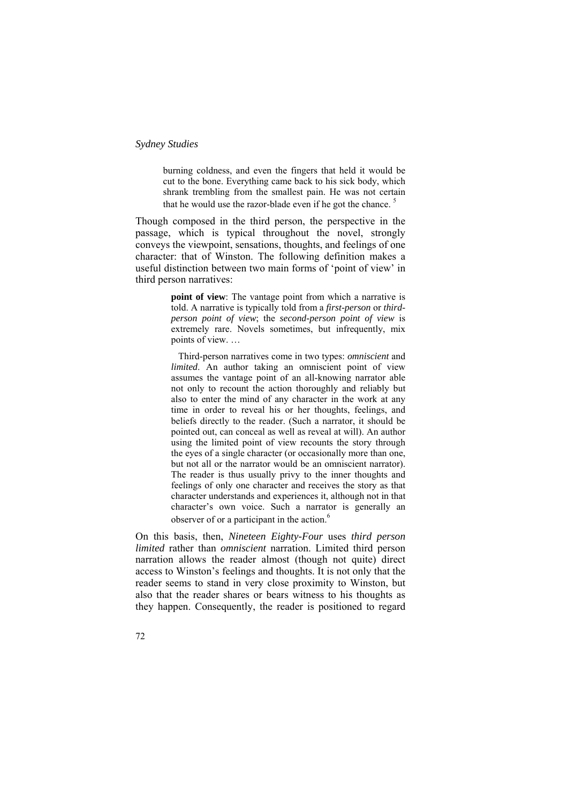burning coldness, and even the fingers that held it would be cut to the bone. Everything came back to his sick body, which shrank trembling from the smallest pain. He was not certain that he would use the razor-blade even if he got the chance.<sup>5</sup>

Though composed in the third person, the perspective in the passage, which is typical throughout the novel, strongly conveys the viewpoint, sensations, thoughts, and feelings of one character: that of Winston. The following definition makes a useful distinction between two main forms of 'point of view' in third person narratives:

> **point of view**: The vantage point from which a narrative is told. A narrative is typically told from a *first-person* or *thirdperson point of view*; the *second-person point of view* is extremely rare. Novels sometimes, but infrequently, mix points of view. …

> Third-person narratives come in two types: *omniscient* and *limited*. An author taking an omniscient point of view assumes the vantage point of an all-knowing narrator able not only to recount the action thoroughly and reliably but also to enter the mind of any character in the work at any time in order to reveal his or her thoughts, feelings, and beliefs directly to the reader. (Such a narrator, it should be pointed out, can conceal as well as reveal at will). An author using the limited point of view recounts the story through the eyes of a single character (or occasionally more than one, but not all or the narrator would be an omniscient narrator). The reader is thus usually privy to the inner thoughts and feelings of only one character and receives the story as that character understands and experiences it, although not in that character's own voice. Such a narrator is generally an observer of or a participant in the action.<sup>6</sup>

On this basis, then, *Nineteen Eighty-Four* uses *third person limited* rather than *omniscient* narration. Limited third person narration allows the reader almost (though not quite) direct access to Winston's feelings and thoughts. It is not only that the reader seems to stand in very close proximity to Winston, but also that the reader shares or bears witness to his thoughts as they happen. Consequently, the reader is positioned to regard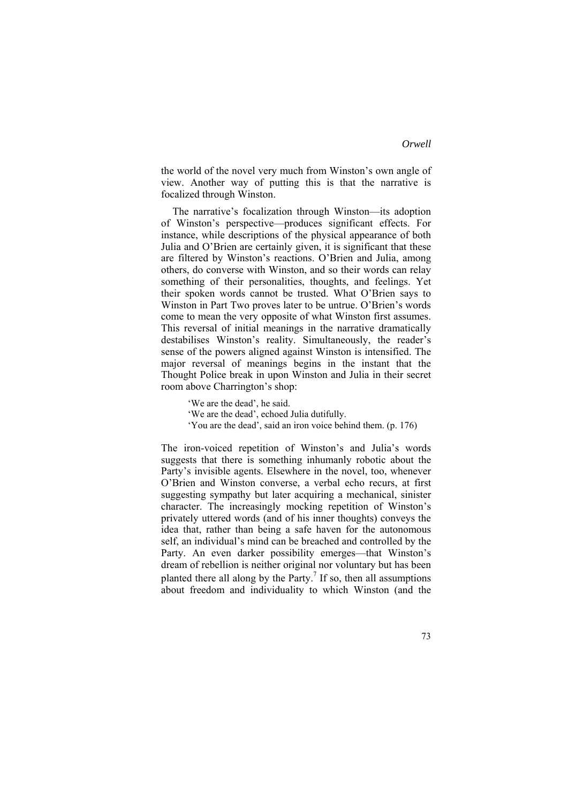the world of the novel very much from Winston's own angle of view. Another way of putting this is that the narrative is focalized through Winston.

The narrative's focalization through Winston—its adoption of Winston's perspective—produces significant effects. For instance, while descriptions of the physical appearance of both Julia and O'Brien are certainly given, it is significant that these are filtered by Winston's reactions. O'Brien and Julia, among others, do converse with Winston, and so their words can relay something of their personalities, thoughts, and feelings. Yet their spoken words cannot be trusted. What O'Brien says to Winston in Part Two proves later to be untrue. O'Brien's words come to mean the very opposite of what Winston first assumes. This reversal of initial meanings in the narrative dramatically destabilises Winston's reality. Simultaneously, the reader's sense of the powers aligned against Winston is intensified. The major reversal of meanings begins in the instant that the Thought Police break in upon Winston and Julia in their secret room above Charrington's shop:

'We are the dead', he said. 'We are the dead', echoed Julia dutifully. 'You are the dead', said an iron voice behind them. (p. 176)

The iron-voiced repetition of Winston's and Julia's words suggests that there is something inhumanly robotic about the Party's invisible agents. Elsewhere in the novel, too, whenever O'Brien and Winston converse, a verbal echo recurs, at first suggesting sympathy but later acquiring a mechanical, sinister character. The increasingly mocking repetition of Winston's privately uttered words (and of his inner thoughts) conveys the idea that, rather than being a safe haven for the autonomous self, an individual's mind can be breached and controlled by the Party. An even darker possibility emerges—that Winston's dream of rebellion is neither original nor voluntary but has been planted there all along by the Party.<sup>7</sup> If so, then all assumptions about freedom and individuality to which Winston (and the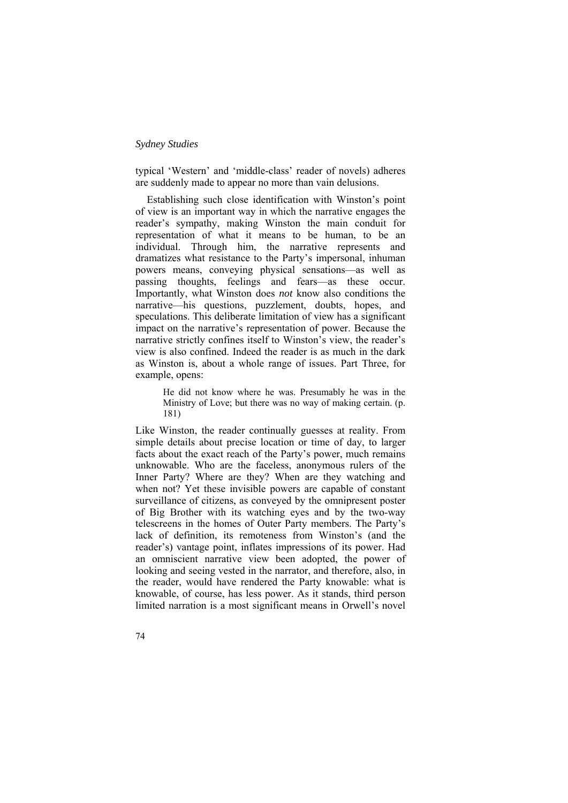typical 'Western' and 'middle-class' reader of novels) adheres are suddenly made to appear no more than vain delusions.

Establishing such close identification with Winston's point of view is an important way in which the narrative engages the reader's sympathy, making Winston the main conduit for representation of what it means to be human, to be an individual. Through him, the narrative represents and dramatizes what resistance to the Party's impersonal, inhuman powers means, conveying physical sensations—as well as passing thoughts, feelings and fears—as these occur. Importantly, what Winston does *not* know also conditions the narrative—his questions, puzzlement, doubts, hopes, and speculations. This deliberate limitation of view has a significant impact on the narrative's representation of power. Because the narrative strictly confines itself to Winston's view, the reader's view is also confined. Indeed the reader is as much in the dark as Winston is, about a whole range of issues. Part Three, for example, opens:

> He did not know where he was. Presumably he was in the Ministry of Love; but there was no way of making certain. (p. 181)

Like Winston, the reader continually guesses at reality. From simple details about precise location or time of day, to larger facts about the exact reach of the Party's power, much remains unknowable. Who are the faceless, anonymous rulers of the Inner Party? Where are they? When are they watching and when not? Yet these invisible powers are capable of constant surveillance of citizens, as conveyed by the omnipresent poster of Big Brother with its watching eyes and by the two-way telescreens in the homes of Outer Party members. The Party's lack of definition, its remoteness from Winston's (and the reader's) vantage point, inflates impressions of its power. Had an omniscient narrative view been adopted, the power of looking and seeing vested in the narrator, and therefore, also, in the reader, would have rendered the Party knowable: what is knowable, of course, has less power. As it stands, third person limited narration is a most significant means in Orwell's novel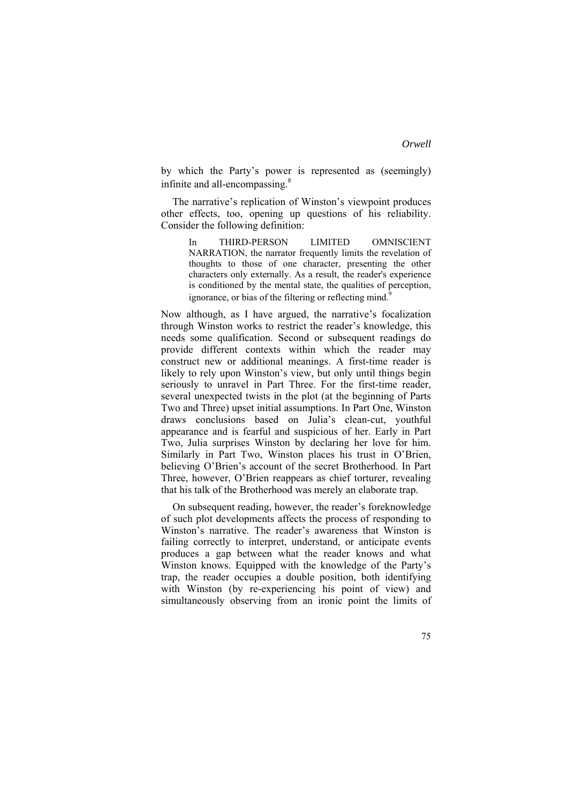by which the Party's power is represented as (seemingly) infinite and all-encompassing.<sup>8</sup>

The narrative's replication of Winston's viewpoint produces other effects, too, opening up questions of his reliability. Consider the following definition:

In THIRD-PERSON LIMITED OMNISCIENT NARRATION, the narrator frequently limits the revelation of thoughts to those of one character, presenting the other characters only externally. As a result, the reader's experience is conditioned by the mental state, the qualities of perception, ignorance, or bias of the filtering or reflecting mind.<sup>9</sup>

Now although, as I have argued, the narrative's focalization through Winston works to restrict the reader's knowledge, this needs some qualification. Second or subsequent readings do provide different contexts within which the reader may construct new or additional meanings. A first-time reader is likely to rely upon Winston's view, but only until things begin seriously to unravel in Part Three. For the first-time reader, several unexpected twists in the plot (at the beginning of Parts Two and Three) upset initial assumptions. In Part One, Winston draws conclusions based on Julia's clean-cut, youthful appearance and is fearful and suspicious of her. Early in Part Two, Julia surprises Winston by declaring her love for him. Similarly in Part Two, Winston places his trust in O'Brien, believing O'Brien's account of the secret Brotherhood. In Part Three, however, O'Brien reappears as chief torturer, revealing that his talk of the Brotherhood was merely an elaborate trap.

On subsequent reading, however, the reader's foreknowledge of such plot developments affects the process of responding to Winston's narrative. The reader's awareness that Winston is failing correctly to interpret, understand, or anticipate events produces a gap between what the reader knows and what Winston knows. Equipped with the knowledge of the Party's trap, the reader occupies a double position, both identifying with Winston (by re-experiencing his point of view) and simultaneously observing from an ironic point the limits of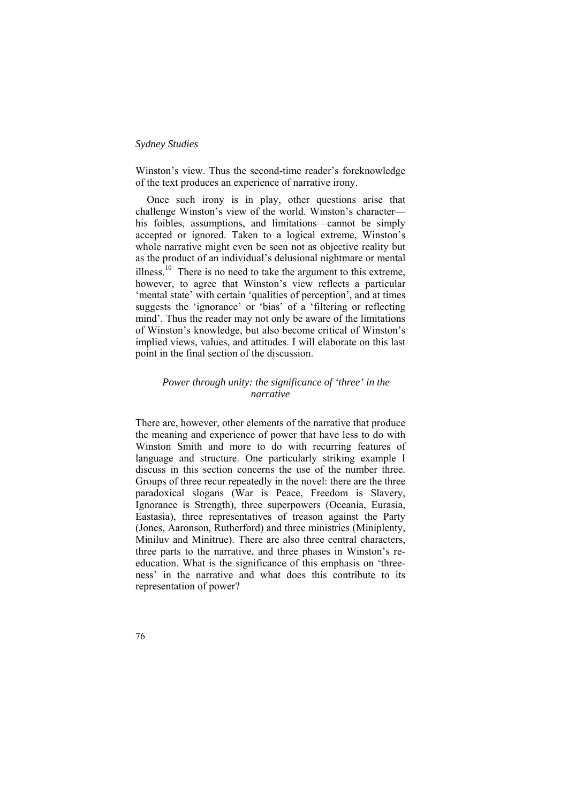Winston's view. Thus the second-time reader's foreknowledge of the text produces an experience of narrative irony.

Once such irony is in play, other questions arise that challenge Winston's view of the world. Winston's character his foibles, assumptions, and limitations—cannot be simply accepted or ignored. Taken to a logical extreme, Winston's whole narrative might even be seen not as objective reality but as the product of an individual's delusional nightmare or mental illness.<sup>10</sup> There is no need to take the argument to this extreme however, to agree that Winston's view reflects a particular 'mental state' with certain 'qualities of perception', and at times suggests the 'ignorance' or 'bias' of a 'filtering or reflecting mind'. Thus the reader may not only be aware of the limitations of Winston's knowledge, but also become critical of Winston's implied views, values, and attitudes. I will elaborate on this last point in the final section of the discussion.

# *Power through unity: the significance of 'three' in the narrative*

There are, however, other elements of the narrative that produce the meaning and experience of power that have less to do with Winston Smith and more to do with recurring features of language and structure. One particularly striking example I discuss in this section concerns the use of the number three. Groups of three recur repeatedly in the novel: there are the three paradoxical slogans (War is Peace, Freedom is Slavery, Ignorance is Strength), three superpowers (Oceania, Eurasia, Eastasia), three representatives of treason against the Party (Jones, Aaronson, Rutherford) and three ministries (Miniplenty, Miniluv and Minitrue). There are also three central characters, three parts to the narrative, and three phases in Winston's reeducation. What is the significance of this emphasis on 'threeness' in the narrative and what does this contribute to its representation of power?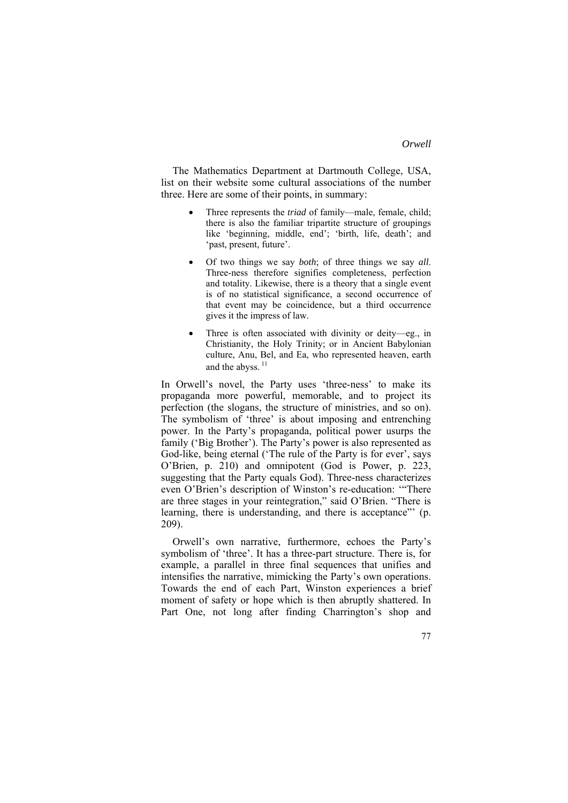The Mathematics Department at Dartmouth College, USA, list on their website some cultural associations of the number three. Here are some of their points, in summary:

- Three represents the *triad* of family—male, female, child; there is also the familiar tripartite structure of groupings like 'beginning, middle, end'; 'birth, life, death'; and 'past, present, future'.
- Of two things we say *both*; of three things we say *all*. Three-ness therefore signifies completeness, perfection and totality. Likewise, there is a theory that a single event is of no statistical significance, a second occurrence of that event may be coincidence, but a third occurrence gives it the impress of law.
- Three is often associated with divinity or deity—eg., in Christianity, the Holy Trinity; or in Ancient Babylonian culture, Anu, Bel, and Ea, who represented heaven, earth and the abyss. $11$

In Orwell's novel, the Party uses 'three-ness' to make its propaganda more powerful, memorable, and to project its perfection (the slogans, the structure of ministries, and so on). The symbolism of 'three' is about imposing and entrenching power. In the Party's propaganda, political power usurps the family ('Big Brother'). The Party's power is also represented as God-like, being eternal ('The rule of the Party is for ever', says O'Brien, p. 210) and omnipotent (God is Power, p. 223, suggesting that the Party equals God). Three-ness characterizes even O'Brien's description of Winston's re-education: '"There are three stages in your reintegration," said O'Brien. "There is learning, there is understanding, and there is acceptance"' (p. 209).

Orwell's own narrative, furthermore, echoes the Party's symbolism of 'three'. It has a three-part structure. There is, for example, a parallel in three final sequences that unifies and intensifies the narrative, mimicking the Party's own operations. Towards the end of each Part, Winston experiences a brief moment of safety or hope which is then abruptly shattered. In Part One, not long after finding Charrington's shop and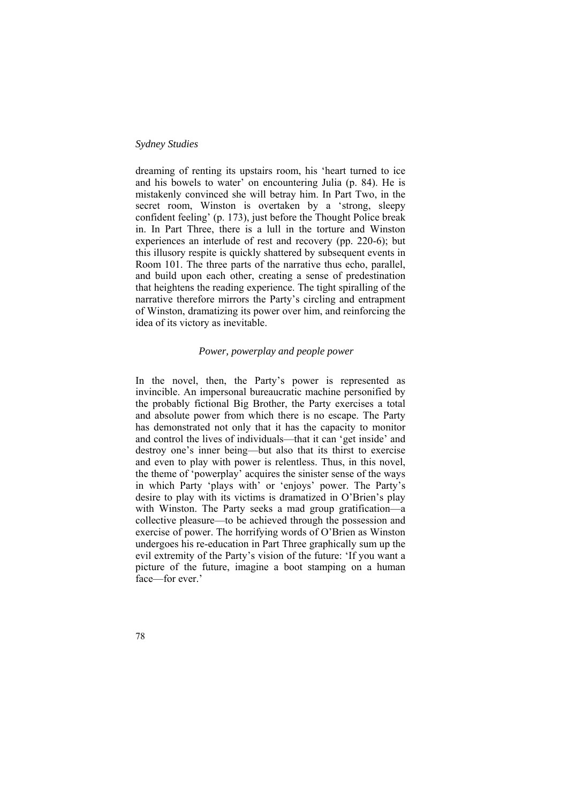dreaming of renting its upstairs room, his 'heart turned to ice and his bowels to water' on encountering Julia (p. 84). He is mistakenly convinced she will betray him. In Part Two, in the secret room, Winston is overtaken by a 'strong, sleepy confident feeling' (p. 173), just before the Thought Police break in. In Part Three, there is a lull in the torture and Winston experiences an interlude of rest and recovery (pp. 220-6); but this illusory respite is quickly shattered by subsequent events in Room 101. The three parts of the narrative thus echo, parallel, and build upon each other, creating a sense of predestination that heightens the reading experience. The tight spiralling of the narrative therefore mirrors the Party's circling and entrapment of Winston, dramatizing its power over him, and reinforcing the idea of its victory as inevitable.

# *Power, powerplay and people power*

In the novel, then, the Party's power is represented as invincible. An impersonal bureaucratic machine personified by the probably fictional Big Brother, the Party exercises a total and absolute power from which there is no escape. The Party has demonstrated not only that it has the capacity to monitor and control the lives of individuals—that it can 'get inside' and destroy one's inner being—but also that its thirst to exercise and even to play with power is relentless. Thus, in this novel, the theme of 'powerplay' acquires the sinister sense of the ways in which Party 'plays with' or 'enjoys' power. The Party's desire to play with its victims is dramatized in O'Brien's play with Winston. The Party seeks a mad group gratification—a collective pleasure—to be achieved through the possession and exercise of power. The horrifying words of O'Brien as Winston undergoes his re-education in Part Three graphically sum up the evil extremity of the Party's vision of the future: 'If you want a picture of the future, imagine a boot stamping on a human face—for ever.'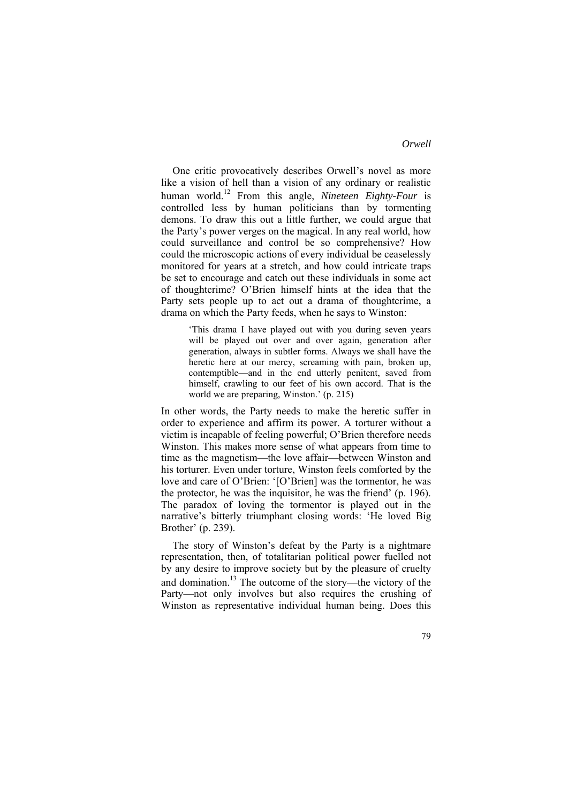One critic provocatively describes Orwell's novel as more like a vision of hell than a vision of any ordinary or realistic human world.12 From this angle, *Nineteen Eighty-Four* is controlled less by human politicians than by tormenting demons. To draw this out a little further, we could argue that the Party's power verges on the magical. In any real world, how could surveillance and control be so comprehensive? How could the microscopic actions of every individual be ceaselessly monitored for years at a stretch, and how could intricate traps be set to encourage and catch out these individuals in some act of thoughtcrime? O'Brien himself hints at the idea that the Party sets people up to act out a drama of thoughtcrime, a drama on which the Party feeds, when he says to Winston:

'This drama I have played out with you during seven years will be played out over and over again, generation after generation, always in subtler forms. Always we shall have the heretic here at our mercy, screaming with pain, broken up, contemptible—and in the end utterly penitent, saved from himself, crawling to our feet of his own accord. That is the world we are preparing, Winston.' (p. 215)

In other words, the Party needs to make the heretic suffer in order to experience and affirm its power. A torturer without a victim is incapable of feeling powerful; O'Brien therefore needs Winston. This makes more sense of what appears from time to time as the magnetism—the love affair—between Winston and his torturer. Even under torture, Winston feels comforted by the love and care of O'Brien: '[O'Brien] was the tormentor, he was the protector, he was the inquisitor, he was the friend' (p. 196). The paradox of loving the tormentor is played out in the narrative's bitterly triumphant closing words: 'He loved Big Brother' (p. 239).

The story of Winston's defeat by the Party is a nightmare representation, then, of totalitarian political power fuelled not by any desire to improve society but by the pleasure of cruelty and domination.<sup>13</sup> The outcome of the story—the victory of the Party—not only involves but also requires the crushing of Winston as representative individual human being. Does this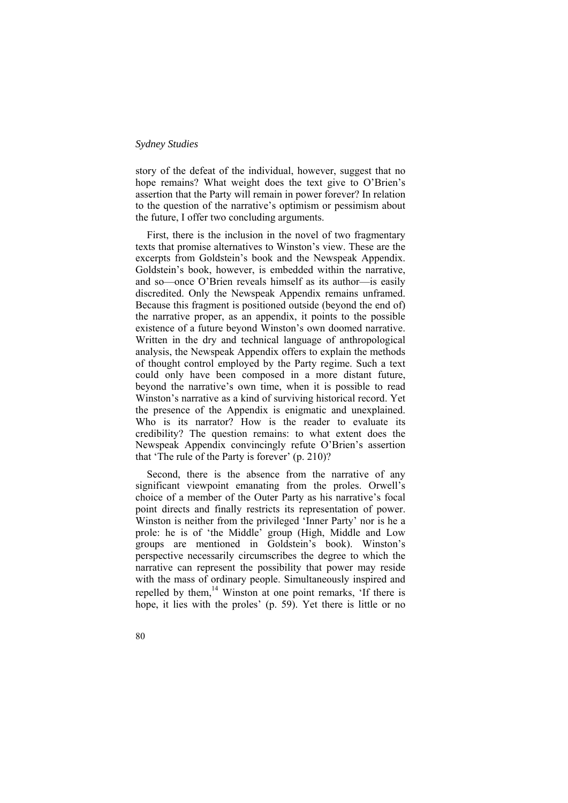story of the defeat of the individual, however, suggest that no hope remains? What weight does the text give to O'Brien's assertion that the Party will remain in power forever? In relation to the question of the narrative's optimism or pessimism about the future, I offer two concluding arguments.

First, there is the inclusion in the novel of two fragmentary texts that promise alternatives to Winston's view. These are the excerpts from Goldstein's book and the Newspeak Appendix. Goldstein's book, however, is embedded within the narrative, and so—once O'Brien reveals himself as its author—is easily discredited. Only the Newspeak Appendix remains unframed. Because this fragment is positioned outside (beyond the end of) the narrative proper, as an appendix, it points to the possible existence of a future beyond Winston's own doomed narrative. Written in the dry and technical language of anthropological analysis, the Newspeak Appendix offers to explain the methods of thought control employed by the Party regime. Such a text could only have been composed in a more distant future, beyond the narrative's own time, when it is possible to read Winston's narrative as a kind of surviving historical record. Yet the presence of the Appendix is enigmatic and unexplained. Who is its narrator? How is the reader to evaluate its credibility? The question remains: to what extent does the Newspeak Appendix convincingly refute O'Brien's assertion that 'The rule of the Party is forever' (p. 210)?

Second, there is the absence from the narrative of any significant viewpoint emanating from the proles. Orwell's choice of a member of the Outer Party as his narrative's focal point directs and finally restricts its representation of power. Winston is neither from the privileged 'Inner Party' nor is he a prole: he is of 'the Middle' group (High, Middle and Low groups are mentioned in Goldstein's book). Winston's perspective necessarily circumscribes the degree to which the narrative can represent the possibility that power may reside with the mass of ordinary people. Simultaneously inspired and repelled by them.<sup>14</sup> Winston at one point remarks, 'If there is hope, it lies with the proles' (p. 59). Yet there is little or no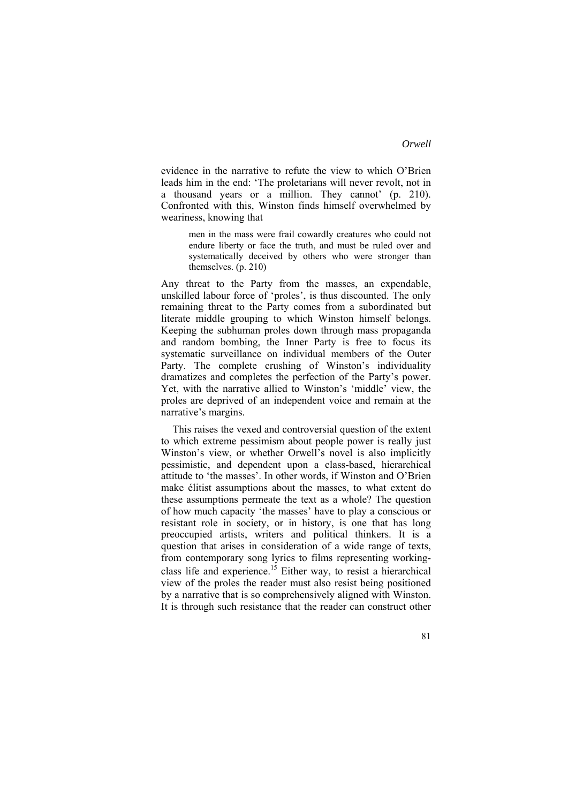evidence in the narrative to refute the view to which O'Brien leads him in the end: 'The proletarians will never revolt, not in a thousand years or a million. They cannot' (p. 210). Confronted with this, Winston finds himself overwhelmed by weariness, knowing that

men in the mass were frail cowardly creatures who could not endure liberty or face the truth, and must be ruled over and systematically deceived by others who were stronger than themselves. (p. 210)

Any threat to the Party from the masses, an expendable, unskilled labour force of 'proles', is thus discounted. The only remaining threat to the Party comes from a subordinated but literate middle grouping to which Winston himself belongs. Keeping the subhuman proles down through mass propaganda and random bombing, the Inner Party is free to focus its systematic surveillance on individual members of the Outer Party. The complete crushing of Winston's individuality dramatizes and completes the perfection of the Party's power. Yet, with the narrative allied to Winston's 'middle' view, the proles are deprived of an independent voice and remain at the narrative's margins.

This raises the vexed and controversial question of the extent to which extreme pessimism about people power is really just Winston's view, or whether Orwell's novel is also implicitly pessimistic, and dependent upon a class-based, hierarchical attitude to 'the masses'. In other words, if Winston and O'Brien make élitist assumptions about the masses, to what extent do these assumptions permeate the text as a whole? The question of how much capacity 'the masses' have to play a conscious or resistant role in society, or in history, is one that has long preoccupied artists, writers and political thinkers. It is a question that arises in consideration of a wide range of texts, from contemporary song lyrics to films representing workingclass life and experience.<sup>15</sup> Either way, to resist a hierarchical view of the proles the reader must also resist being positioned by a narrative that is so comprehensively aligned with Winston. It is through such resistance that the reader can construct other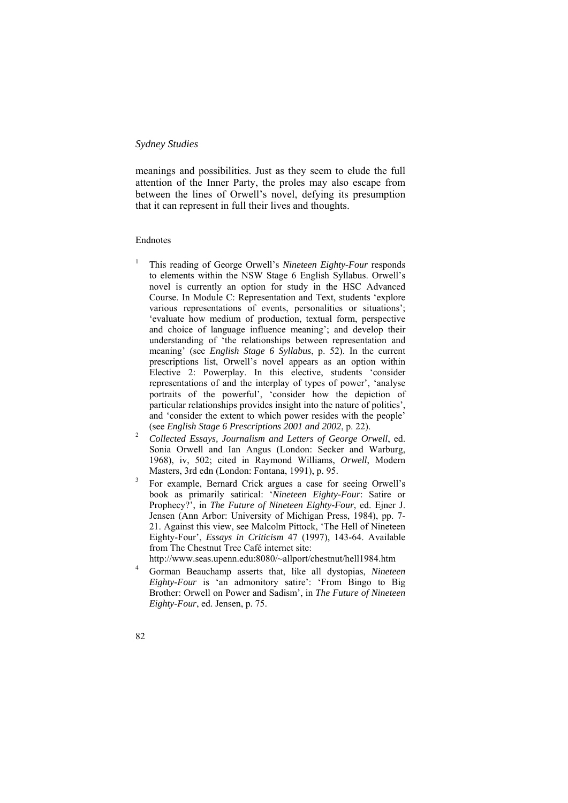meanings and possibilities. Just as they seem to elude the full attention of the Inner Party, the proles may also escape from between the lines of Orwell's novel, defying its presumption that it can represent in full their lives and thoughts.

# Endnotes

- 1 This reading of George Orwell's *Nineteen Eighty-Four* responds to elements within the NSW Stage 6 English Syllabus. Orwell's novel is currently an option for study in the HSC Advanced Course. In Module C: Representation and Text, students 'explore various representations of events, personalities or situations'; 'evaluate how medium of production, textual form, perspective and choice of language influence meaning'; and develop their understanding of 'the relationships between representation and meaning' (see *English Stage 6 Syllabus*, p. 52). In the current prescriptions list, Orwell's novel appears as an option within Elective 2: Powerplay. In this elective, students 'consider representations of and the interplay of types of power', 'analyse portraits of the powerful', 'consider how the depiction of particular relationships provides insight into the nature of politics', and 'consider the extent to which power resides with the people' (see *English Stage 6 Prescriptions 2001 and 2002*, p. 22). 2
- *Collected Essays, Journalism and Letters of George Orwell*, ed. Sonia Orwell and Ian Angus (London: Secker and Warburg, 1968), iv, 502; cited in Raymond Williams, *Orwell*, Modern Masters, 3rd edn (London: Fontana, 1991), p. 95.<br><sup>3</sup> Eer evenuele Bernerd Criek argues a gaso for
- For example, Bernard Crick argues a case for seeing Orwell's book as primarily satirical: '*Nineteen Eighty-Four*: Satire or Prophecy?', in *The Future of Nineteen Eighty-Four*, ed. Ejner J. Jensen (Ann Arbor: University of Michigan Press, 1984), pp. 7- 21. Against this view, see Malcolm Pittock, 'The Hell of Nineteen Eighty-Four', *Essays in Criticism* 47 (1997), 143-64. Available from The Chestnut Tree Café internet site:
- http://www.seas.upenn.edu:8080/~allport/chestnut/hell1984.htm
- Gorman Beauchamp asserts that, like all dystopias, *Nineteen Eighty-Four* is 'an admonitory satire': 'From Bingo to Big Brother: Orwell on Power and Sadism', in *The Future of Nineteen Eighty-Four*, ed. Jensen, p. 75.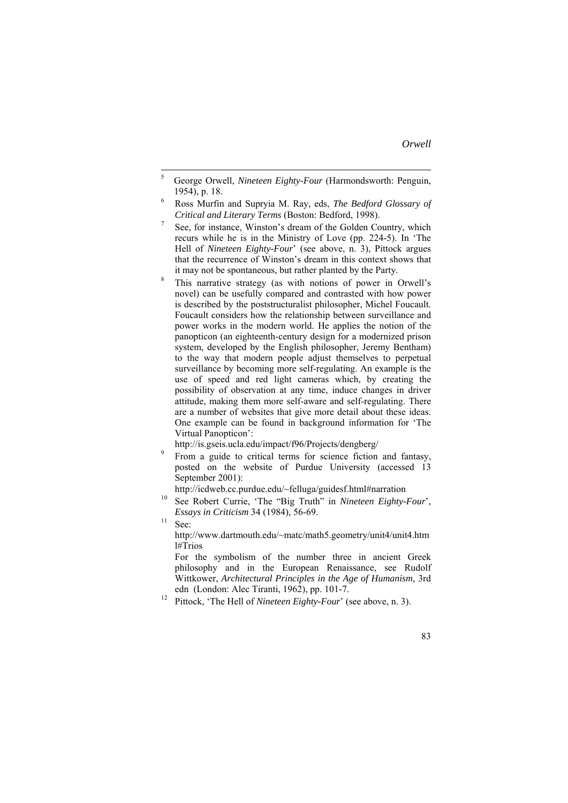- 5 George Orwell, *Nineteen Eighty-Four* (Harmondsworth: Penguin,  $1954$ ), p. 18.
- Ross Murfin and Supryia M. Ray, eds, *The Bedford Glossary of Critical and Literary Terms* (Boston: Bedford, 1998). 7
- See, for instance, Winston's dream of the Golden Country, which recurs while he is in the Ministry of Love (pp. 224-5). In 'The Hell of *Nineteen Eighty-Four*' (see above, n. 3), Pittock argues that the recurrence of Winston's dream in this context shows that it may not be spontaneous, but rather planted by the Party.
- This narrative strategy (as with notions of power in Orwell's novel) can be usefully compared and contrasted with how power is described by the poststructuralist philosopher, Michel Foucault. Foucault considers how the relationship between surveillance and power works in the modern world. He applies the notion of the panopticon (an eighteenth-century design for a modernized prison system, developed by the English philosopher, Jeremy Bentham) to the way that modern people adjust themselves to perpetual surveillance by becoming more self-regulating. An example is the use of speed and red light cameras which, by creating the possibility of observation at any time, induce changes in driver attitude, making them more self-aware and self-regulating. There are a number of websites that give more detail about these ideas. One example can be found in background information for 'The Virtual Panopticon':

http://is.gseis.ucla.edu/impact/f96/Projects/dengberg/

 From a guide to critical terms for science fiction and fantasy, posted on the website of Purdue University (accessed 13 September 2001):

http://icdweb.cc.purdue.edu/~felluga/guidesf.html#narration 10 See Robert Currie, 'The "Big Truth" in *Nineteen Eighty-Four*', *Essays in Criticism* 34 (1984), 56-69.<br><sup>11</sup> See:

http://www.dartmouth.edu/~matc/math5.geometry/unit4/unit4.htm l#Trios

For the symbolism of the number three in ancient Greek philosophy and in the European Renaissance, see Rudolf Wittkower, *Architectural Principles in the Age of Humanism*, 3rd

edn (London: Alec Tiranti, 1962), pp. 101-7. 12 Pittock, 'The Hell of *Nineteen Eighty-Four*' (see above, n. 3).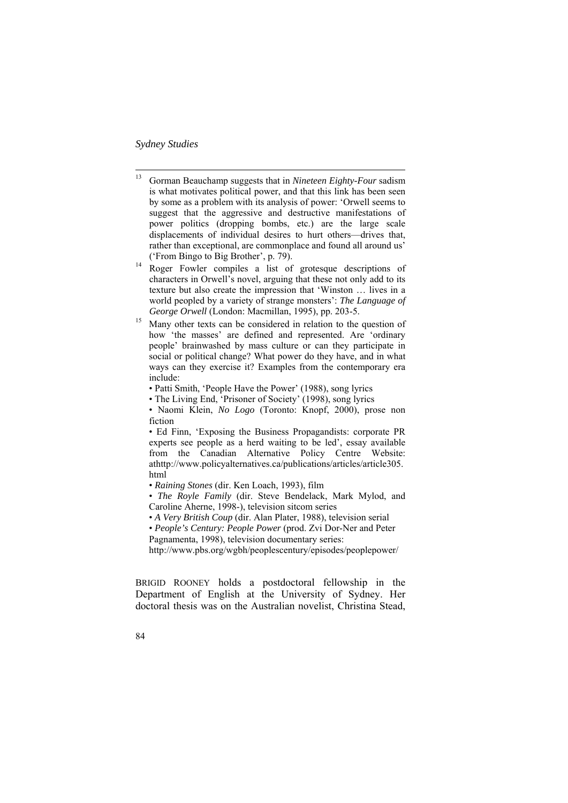13 Gorman Beauchamp suggests that in *Nineteen Eighty-Four* sadism is what motivates political power, and that this link has been seen by some as a problem with its analysis of power: 'Orwell seems to suggest that the aggressive and destructive manifestations of power politics (dropping bombs, etc.) are the large scale displacements of individual desires to hurt others—drives that, rather than exceptional, are commonplace and found all around us'

('From Bingo to Big Brother', p. 79).<br><sup>14</sup> Roger Fowler compiles a list of grotesque descriptions of characters in Orwell's novel, arguing that these not only add to its texture but also create the impression that 'Winston … lives in a world peopled by a variety of strange monsters': *The Language of George Orwell* (London: Macmillan, 1995), pp. 203-5.<br><sup>15</sup> Many other texts can be considered in relation to the question of

- how 'the masses' are defined and represented. Are 'ordinary people' brainwashed by mass culture or can they participate in social or political change? What power do they have, and in what ways can they exercise it? Examples from the contemporary era include:
	- Patti Smith, 'People Have the Power' (1988), song lyrics
	- The Living End, 'Prisoner of Society' (1998), song lyrics
	- Naomi Klein, *No Logo* (Toronto: Knopf, 2000), prose non fiction

• Ed Finn, 'Exposing the Business Propagandists: corporate PR experts see people as a herd waiting to be led', essay available from the Canadian Alternative Policy Centre Website: athttp://www.policyalternatives.ca/publications/articles/article305. html

- *Raining Stones* (dir. Ken Loach, 1993), film
- *The Royle Family* (dir. Steve Bendelack, Mark Mylod, and Caroline Aherne, 1998-), television sitcom series
- *A Very British Coup* (dir. Alan Plater, 1988), television serial

• *People's Century: People Power* (prod. Zvi Dor-Ner and Peter Pagnamenta, 1998), television documentary series:

http://www.pbs.org/wgbh/peoplescentury/episodes/peoplepower/

BRIGID ROONEY holds a postdoctoral fellowship in the Department of English at the University of Sydney. Her doctoral thesis was on the Australian novelist, Christina Stead,